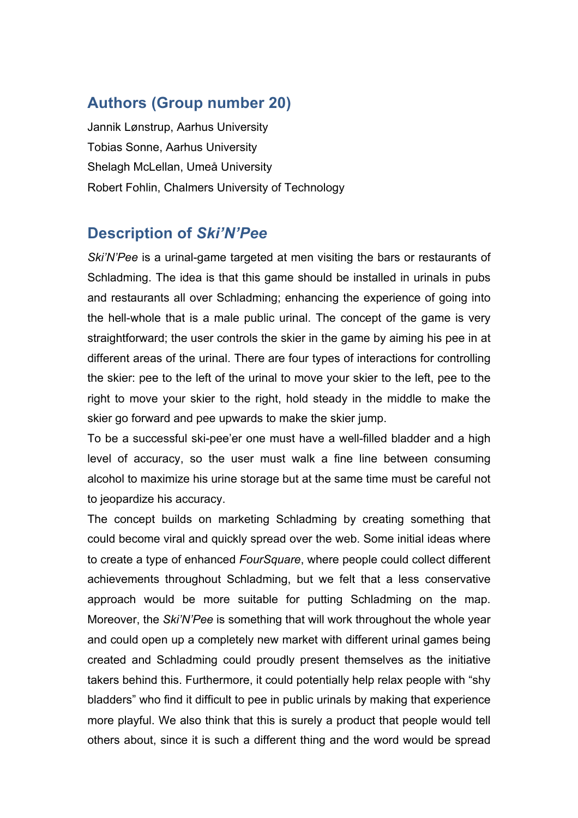## **Authors (Group number 20)**

Jannik Lønstrup, Aarhus University Tobias Sonne, Aarhus University Shelagh McLellan, Umeå University Robert Fohlin, Chalmers University of Technology

## **Description of** *Ski'N'Pee*

*Ski'N'Pee* is a urinal-game targeted at men visiting the bars or restaurants of Schladming. The idea is that this game should be installed in urinals in pubs and restaurants all over Schladming; enhancing the experience of going into the hell-whole that is a male public urinal. The concept of the game is very straightforward; the user controls the skier in the game by aiming his pee in at different areas of the urinal. There are four types of interactions for controlling the skier: pee to the left of the urinal to move your skier to the left, pee to the right to move your skier to the right, hold steady in the middle to make the skier go forward and pee upwards to make the skier jump.

To be a successful ski-pee'er one must have a well-filled bladder and a high level of accuracy, so the user must walk a fine line between consuming alcohol to maximize his urine storage but at the same time must be careful not to jeopardize his accuracy.

The concept builds on marketing Schladming by creating something that could become viral and quickly spread over the web. Some initial ideas where to create a type of enhanced *FourSquare*, where people could collect different achievements throughout Schladming, but we felt that a less conservative approach would be more suitable for putting Schladming on the map. Moreover, the *Ski'N'Pee* is something that will work throughout the whole year and could open up a completely new market with different urinal games being created and Schladming could proudly present themselves as the initiative takers behind this. Furthermore, it could potentially help relax people with "shy bladders" who find it difficult to pee in public urinals by making that experience more playful. We also think that this is surely a product that people would tell others about, since it is such a different thing and the word would be spread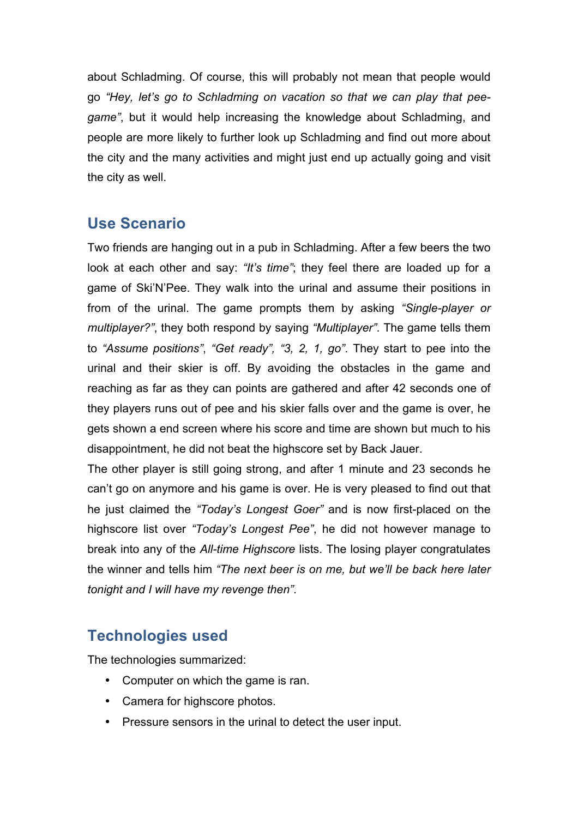about Schladming. Of course, this will probably not mean that people would go *"Hey, let's go to Schladming on vacation so that we can play that peegame"*, but it would help increasing the knowledge about Schladming, and people are more likely to further look up Schladming and find out more about the city and the many activities and might just end up actually going and visit the city as well.

## **Use Scenario**

Two friends are hanging out in a pub in Schladming. After a few beers the two look at each other and say: *"It's time"*; they feel there are loaded up for a game of Ski'N'Pee. They walk into the urinal and assume their positions in from of the urinal. The game prompts them by asking *"Single-player or multiplayer?"*, they both respond by saying *"Multiplayer"*. The game tells them to *"Assume positions"*, *"Get ready", "3, 2, 1, go"*. They start to pee into the urinal and their skier is off. By avoiding the obstacles in the game and reaching as far as they can points are gathered and after 42 seconds one of they players runs out of pee and his skier falls over and the game is over, he gets shown a end screen where his score and time are shown but much to his disappointment, he did not beat the highscore set by Back Jauer.

The other player is still going strong, and after 1 minute and 23 seconds he can't go on anymore and his game is over. He is very pleased to find out that he just claimed the *"Today's Longest Goer"* and is now first-placed on the highscore list over *"Today's Longest Pee"*, he did not however manage to break into any of the *All-time Highscore* lists. The losing player congratulates the winner and tells him *"The next beer is on me, but we'll be back here later tonight and I will have my revenge then"*.

## **Technologies used**

The technologies summarized:

- Computer on which the game is ran.
- Camera for highscore photos.
- Pressure sensors in the urinal to detect the user input.